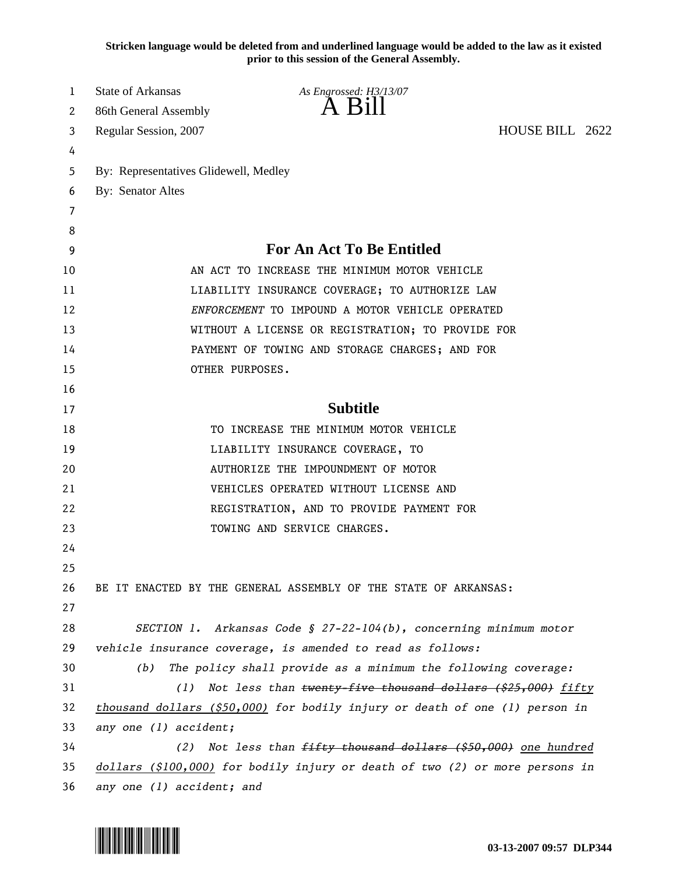**Stricken language would be deleted from and underlined language would be added to the law as it existed prior to this session of the General Assembly.**

| 1  | <b>State of Arkansas</b>                                                     | As Engrossed: H3/13/07                                                       |                 |  |  |
|----|------------------------------------------------------------------------------|------------------------------------------------------------------------------|-----------------|--|--|
| 2  | 86th General Assembly                                                        | $A$ Bill                                                                     |                 |  |  |
| 3  | Regular Session, 2007                                                        |                                                                              | HOUSE BILL 2622 |  |  |
| 4  |                                                                              |                                                                              |                 |  |  |
| 5  | By: Representatives Glidewell, Medley                                        |                                                                              |                 |  |  |
| 6  | By: Senator Altes                                                            |                                                                              |                 |  |  |
| 7  |                                                                              |                                                                              |                 |  |  |
| 8  |                                                                              |                                                                              |                 |  |  |
| 9  |                                                                              | <b>For An Act To Be Entitled</b>                                             |                 |  |  |
| 10 |                                                                              | AN ACT TO INCREASE THE MINIMUM MOTOR VEHICLE                                 |                 |  |  |
| 11 | LIABILITY INSURANCE COVERAGE; TO AUTHORIZE LAW                               |                                                                              |                 |  |  |
| 12 | ENFORCEMENT TO IMPOUND A MOTOR VEHICLE OPERATED                              |                                                                              |                 |  |  |
| 13 |                                                                              | WITHOUT A LICENSE OR REGISTRATION; TO PROVIDE FOR                            |                 |  |  |
| 14 | PAYMENT OF TOWING AND STORAGE CHARGES; AND FOR                               |                                                                              |                 |  |  |
| 15 |                                                                              | OTHER PURPOSES.                                                              |                 |  |  |
| 16 |                                                                              |                                                                              |                 |  |  |
| 17 |                                                                              | <b>Subtitle</b>                                                              |                 |  |  |
| 18 |                                                                              | TO INCREASE THE MINIMUM MOTOR VEHICLE                                        |                 |  |  |
| 19 | LIABILITY INSURANCE COVERAGE, TO                                             |                                                                              |                 |  |  |
| 20 | AUTHORIZE THE IMPOUNDMENT OF MOTOR                                           |                                                                              |                 |  |  |
| 21 |                                                                              | VEHICLES OPERATED WITHOUT LICENSE AND                                        |                 |  |  |
| 22 |                                                                              | REGISTRATION, AND TO PROVIDE PAYMENT FOR                                     |                 |  |  |
| 23 |                                                                              | TOWING AND SERVICE CHARGES.                                                  |                 |  |  |
| 24 |                                                                              |                                                                              |                 |  |  |
| 25 |                                                                              |                                                                              |                 |  |  |
| 26 |                                                                              | BE IT ENACTED BY THE GENERAL ASSEMBLY OF THE STATE OF ARKANSAS:              |                 |  |  |
| 27 |                                                                              |                                                                              |                 |  |  |
| 28 |                                                                              | SECTION 1. Arkansas Code § 27-22-104(b), concerning minimum motor            |                 |  |  |
| 29 |                                                                              | vehicle insurance coverage, is amended to read as follows:                   |                 |  |  |
| 30 | (b)                                                                          | The policy shall provide as a minimum the following coverage:                |                 |  |  |
| 31 | (1)                                                                          | Not less than twenty-five thousand dollars (\$25,000) fifty                  |                 |  |  |
| 32 | thousand dollars $(§50,000)$ for bodily injury or death of one (1) person in |                                                                              |                 |  |  |
| 33 | any one (1) accident;                                                        |                                                                              |                 |  |  |
| 34 | (2)                                                                          | Not less than fifty thousand dollars (\$50,000) one hundred                  |                 |  |  |
| 35 |                                                                              | dollars (\$100,000) for bodily injury or death of two (2) or more persons in |                 |  |  |
| 36 | any one (1) accident; and                                                    |                                                                              |                 |  |  |

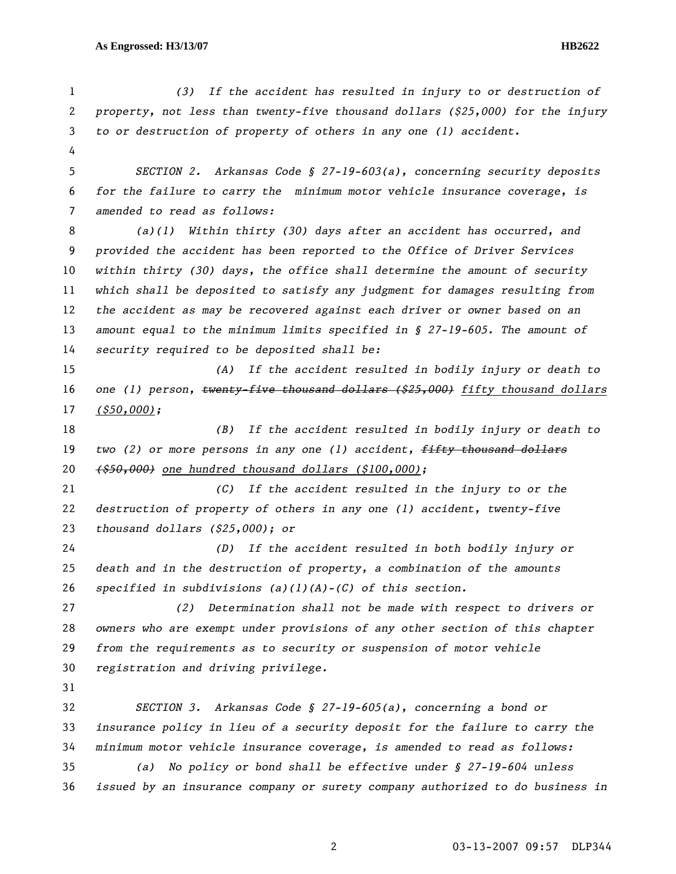*(3) If the accident has resulted in injury to or destruction of property, not less than twenty-five thousand dollars (\$25,000) for the injury to or destruction of property of others in any one (1) accident. SECTION 2. Arkansas Code § 27-19-603(a), concerning security deposits for the failure to carry the minimum motor vehicle insurance coverage, is amended to read as follows: (a)(1) Within thirty (30) days after an accident has occurred, and provided the accident has been reported to the Office of Driver Services within thirty (30) days, the office shall determine the amount of security which shall be deposited to satisfy any judgment for damages resulting from the accident as may be recovered against each driver or owner based on an amount equal to the minimum limits specified in § 27-19-605. The amount of security required to be deposited shall be: (A) If the accident resulted in bodily injury or death to one (1) person, twenty-five thousand dollars (\$25,000) fifty thousand dollars (\$50,000); (B) If the accident resulted in bodily injury or death to two (2) or more persons in any one (1) accident, fifty thousand dollars (\$50,000) one hundred thousand dollars (\$100,000); (C) If the accident resulted in the injury to or the destruction of property of others in any one (1) accident, twenty-five thousand dollars (\$25,000); or (D) If the accident resulted in both bodily injury or death and in the destruction of property, a combination of the amounts specified in subdivisions (a)(1)(A)-(C) of this section. (2) Determination shall not be made with respect to drivers or owners who are exempt under provisions of any other section of this chapter from the requirements as to security or suspension of motor vehicle registration and driving privilege. SECTION 3. Arkansas Code § 27-19-605(a), concerning a bond or insurance policy in lieu of a security deposit for the failure to carry the minimum motor vehicle insurance coverage, is amended to read as follows: (a) No policy or bond shall be effective under § 27-19-604 unless issued by an insurance company or surety company authorized to do business in*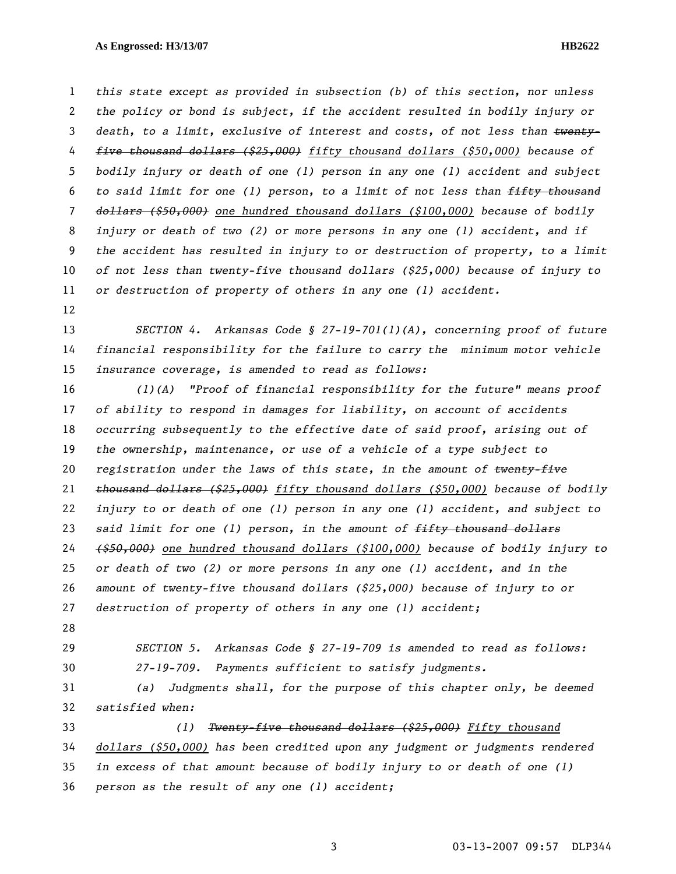*this state except as provided in subsection (b) of this section, nor unless the policy or bond is subject, if the accident resulted in bodily injury or death, to a limit, exclusive of interest and costs, of not less than twenty-five thousand dollars (\$25,000) fifty thousand dollars (\$50,000) because of bodily injury or death of one (1) person in any one (1) accident and subject to said limit for one (1) person, to a limit of not less than fifty thousand dollars (\$50,000) one hundred thousand dollars (\$100,000) because of bodily injury or death of two (2) or more persons in any one (1) accident, and if the accident has resulted in injury to or destruction of property, to a limit of not less than twenty-five thousand dollars (\$25,000) because of injury to or destruction of property of others in any one (1) accident.* 

*SECTION 4. Arkansas Code § 27-19-701(1)(A), concerning proof of future financial responsibility for the failure to carry the minimum motor vehicle insurance coverage, is amended to read as follows:* 

*(1)(A) "Proof of financial responsibility for the future" means proof of ability to respond in damages for liability, on account of accidents occurring subsequently to the effective date of said proof, arising out of the ownership, maintenance, or use of a vehicle of a type subject to registration under the laws of this state, in the amount of twenty-five thousand dollars (\$25,000) fifty thousand dollars (\$50,000) because of bodily injury to or death of one (1) person in any one (1) accident, and subject to said limit for one (1) person, in the amount of fifty thousand dollars (\$50,000) one hundred thousand dollars (\$100,000) because of bodily injury to or death of two (2) or more persons in any one (1) accident, and in the amount of twenty-five thousand dollars (\$25,000) because of injury to or destruction of property of others in any one (1) accident;* 

- 
- 

*SECTION 5. Arkansas Code § 27-19-709 is amended to read as follows: 27-19-709. Payments sufficient to satisfy judgments.* 

*(a) Judgments shall, for the purpose of this chapter only, be deemed satisfied when:* 

*(1) Twenty-five thousand dollars (\$25,000) Fifty thousand dollars (\$50,000) has been credited upon any judgment or judgments rendered in excess of that amount because of bodily injury to or death of one (1) person as the result of any one (1) accident;*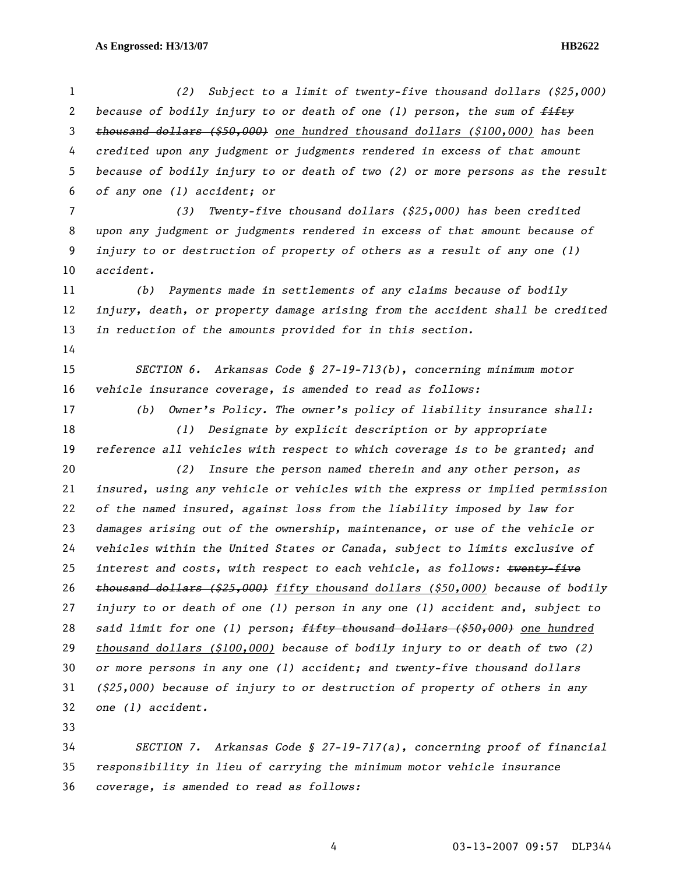*(2) Subject to a limit of twenty-five thousand dollars (\$25,000) because of bodily injury to or death of one (1) person, the sum of fifty thousand dollars (\$50,000) one hundred thousand dollars (\$100,000) has been credited upon any judgment or judgments rendered in excess of that amount because of bodily injury to or death of two (2) or more persons as the result of any one (1) accident; or (3) Twenty-five thousand dollars (\$25,000) has been credited upon any judgment or judgments rendered in excess of that amount because of injury to or destruction of property of others as a result of any one (1) accident. (b) Payments made in settlements of any claims because of bodily injury, death, or property damage arising from the accident shall be credited in reduction of the amounts provided for in this section. SECTION 6. Arkansas Code § 27-19-713(b), concerning minimum motor vehicle insurance coverage, is amended to read as follows: (b) Owner's Policy. The owner's policy of liability insurance shall: (1) Designate by explicit description or by appropriate reference all vehicles with respect to which coverage is to be granted; and (2) Insure the person named therein and any other person, as insured, using any vehicle or vehicles with the express or implied permission of the named insured, against loss from the liability imposed by law for damages arising out of the ownership, maintenance, or use of the vehicle or vehicles within the United States or Canada, subject to limits exclusive of interest and costs, with respect to each vehicle, as follows: twenty-five thousand dollars (\$25,000) fifty thousand dollars (\$50,000) because of bodily injury to or death of one (1) person in any one (1) accident and, subject to said limit for one (1) person; fifty thousand dollars (\$50,000) one hundred thousand dollars (\$100,000) because of bodily injury to or death of two (2) or more persons in any one (1) accident; and twenty-five thousand dollars (\$25,000) because of injury to or destruction of property of others in any one (1) accident. SECTION 7. Arkansas Code § 27-19-717(a), concerning proof of financial* 

*responsibility in lieu of carrying the minimum motor vehicle insurance coverage, is amended to read as follows:*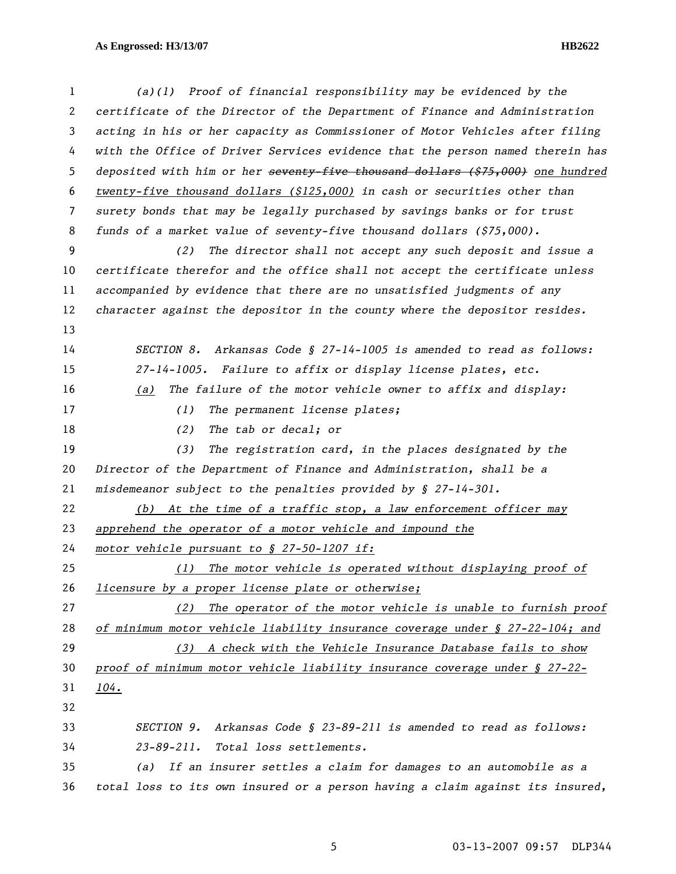*(a)(1) Proof of financial responsibility may be evidenced by the certificate of the Director of the Department of Finance and Administration acting in his or her capacity as Commissioner of Motor Vehicles after filing with the Office of Driver Services evidence that the person named therein has deposited with him or her seventy-five thousand dollars (\$75,000) one hundred twenty-five thousand dollars (\$125,000) in cash or securities other than surety bonds that may be legally purchased by savings banks or for trust funds of a market value of seventy-five thousand dollars (\$75,000). (2) The director shall not accept any such deposit and issue a certificate therefor and the office shall not accept the certificate unless accompanied by evidence that there are no unsatisfied judgments of any character against the depositor in the county where the depositor resides. SECTION 8. Arkansas Code § 27-14-1005 is amended to read as follows: 27-14-1005. Failure to affix or display license plates, etc. (a) The failure of the motor vehicle owner to affix and display: (1) The permanent license plates; (2) The tab or decal; or (3) The registration card, in the places designated by the Director of the Department of Finance and Administration, shall be a misdemeanor subject to the penalties provided by § 27-14-301. (b) At the time of a traffic stop, a law enforcement officer may apprehend the operator of a motor vehicle and impound the motor vehicle pursuant to § 27-50-1207 if: (1) The motor vehicle is operated without displaying proof of licensure by a proper license plate or otherwise; (2) The operator of the motor vehicle is unable to furnish proof of minimum motor vehicle liability insurance coverage under § 27-22-104; and (3) A check with the Vehicle Insurance Database fails to show proof of minimum motor vehicle liability insurance coverage under § 27-22- 104. SECTION 9. Arkansas Code § 23-89-211 is amended to read as follows: 23-89-211. Total loss settlements. (a) If an insurer settles a claim for damages to an automobile as a total loss to its own insured or a person having a claim against its insured,*